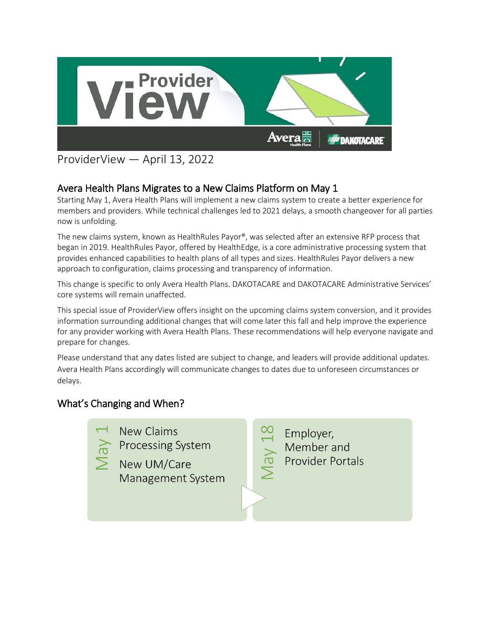

# ProviderView — April 13, 2022

## Avera Health Plans Migrates to a New Claims Platform on May 1

Starting May 1, Avera Health Plans will implement a new claims system to create a better experience for members and providers. While technical challenges led to 2021 delays, a smooth changeover for all parties now is unfolding.

The new claims system, known as HealthRules Payor®, was selected after an extensive RFP process that began in 2019. HealthRules Payor, offered by HealthEdge, is a core administrative processing system that provides enhanced capabilities to health plans of all types and sizes. HealthRules Payor delivers a new approach to configuration, claims processing and transparency of information.

This change is specific to only Avera Health Plans. DAKOTACARE and DAKOTACARE Administrative Services' core systems will remain unaffected.

This special issue of ProviderView offers insight on the upcoming claims system conversion, and it provides information surrounding additional changes that will come later this fall and help improve the experience for any provider working with Avera Health Plans. These recommendations will help everyone navigate and prepare for changes.

Please understand that any dates listed are subject to change, and leaders will provide additional updates. Avera Health Plans accordingly will communicate changes to dates due to unforeseen circumstances or delays.

### What's Changing and When?



**New Claims Processing System** 

New UM/Care Management System

Employer, Member and Vay **Provider Portals**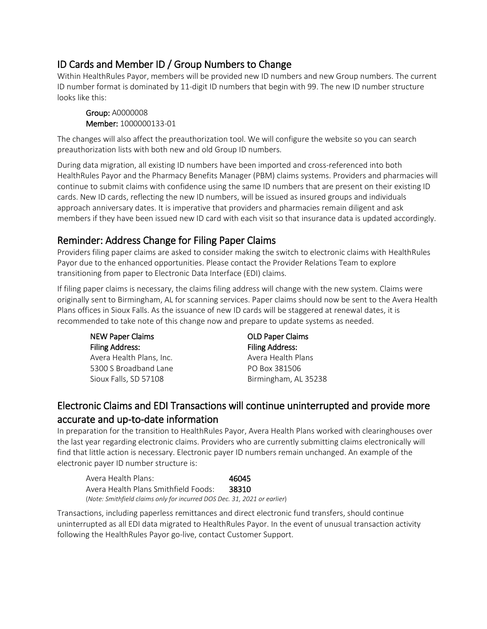### ID Cards and Member ID / Group Numbers to Change

Within HealthRules Payor, members will be provided new ID numbers and new Group numbers. The current ID number format is dominated by 11-digit ID numbers that begin with 99. The new ID number structure looks like this:

Group: A0000008 Member: 1000000133-01

The changes will also affect the preauthorization tool. We will configure the website so you can search preauthorization lists with both new and old Group ID numbers.

During data migration, all existing ID numbers have been imported and cross-referenced into both HealthRules Payor and the Pharmacy Benefits Manager (PBM) claims systems. Providers and pharmacies will continue to submit claims with confidence using the same ID numbers that are present on their existing ID cards. New ID cards, reflecting the new ID numbers, will be issued as insured groups and individuals approach anniversary dates. It is imperative that providers and pharmacies remain diligent and ask members if they have been issued new ID card with each visit so that insurance data is updated accordingly.

### Reminder: Address Change for Filing Paper Claims

Providers filing paper claims are asked to consider making the switch to electronic claims with HealthRules Payor due to the enhanced opportunities. Please contact the Provider Relations Team to explore transitioning from paper to Electronic Data Interface (EDI) claims.

If filing paper claims is necessary, the claims filing address will change with the new system. Claims were originally sent to Birmingham, AL for scanning services. Paper claims should now be sent to the Avera Health Plans offices in Sioux Falls. As the issuance of new ID cards will be staggered at renewal dates, it is recommended to take note of this change now and prepare to update systems as needed.

| <b>NEW Paper Claims</b>  | <b>OLD Paper Claims</b> |
|--------------------------|-------------------------|
| <b>Filing Address:</b>   | <b>Filing Address:</b>  |
| Avera Health Plans, Inc. | Avera Health Plans      |
| 5300 S Broadband Lane    | PO Box 381506           |
| Sioux Falls, SD 57108    | Birmingham, AL 35238    |

### Electronic Claims and EDI Transactions will continue uninterrupted and provide more accurate and up-to-date information

In preparation for the transition to HealthRules Payor, Avera Health Plans worked with clearinghouses over the last year regarding electronic claims. Providers who are currently submitting claims electronically will find that little action is necessary. Electronic payer ID numbers remain unchanged. An example of the electronic payer ID number structure is:

| Avera Health Plans: I                                                    | 46045 |
|--------------------------------------------------------------------------|-------|
| Avera Health Plans Smithfield Foods:                                     | 38310 |
| (Note: Smithfield claims only for incurred DOS Dec. 31, 2021 or earlier) |       |

Transactions, including paperless remittances and direct electronic fund transfers, should continue uninterrupted as all EDI data migrated to HealthRules Payor. In the event of unusual transaction activity following the HealthRules Payor go-live, contact Customer Support.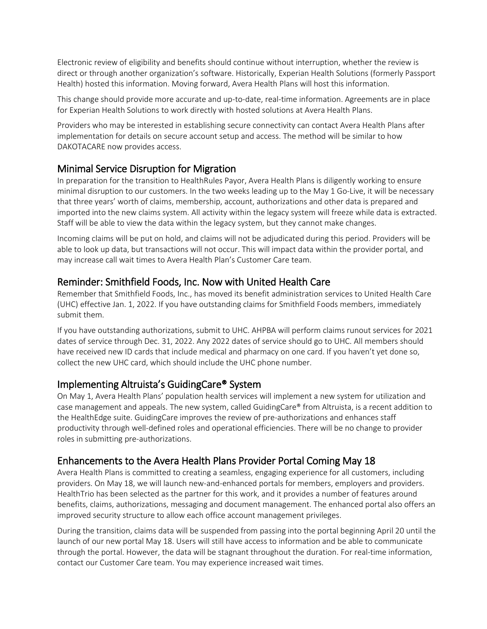Electronic review of eligibility and benefits should continue without interruption, whether the review is direct or through another organization's software. Historically, Experian Health Solutions (formerly Passport Health) hosted this information. Moving forward, Avera Health Plans will host this information.

This change should provide more accurate and up-to-date, real-time information. Agreements are in place for Experian Health Solutions to work directly with hosted solutions at Avera Health Plans.

Providers who may be interested in establishing secure connectivity can contact Avera Health Plans after implementation for details on secure account setup and access. The method will be similar to how DAKOTACARE now provides access.

### Minimal Service Disruption for Migration

In preparation for the transition to HealthRules Payor, Avera Health Plans is diligently working to ensure minimal disruption to our customers. In the two weeks leading up to the May 1 Go-Live, it will be necessary that three years' worth of claims, membership, account, authorizations and other data is prepared and imported into the new claims system. All activity within the legacy system will freeze while data is extracted. Staff will be able to view the data within the legacy system, but they cannot make changes.

Incoming claims will be put on hold, and claims will not be adjudicated during this period. Providers will be able to look up data, but transactions will not occur. This will impact data within the provider portal, and may increase call wait times to Avera Health Plan's Customer Care team.

#### Reminder: Smithfield Foods, Inc. Now with United Health Care

Remember that Smithfield Foods, Inc., has moved its benefit administration services to United Health Care (UHC) effective Jan. 1, 2022. If you have outstanding claims for Smithfield Foods members, immediately submit them.

If you have outstanding authorizations, submit to UHC. AHPBA will perform claims runout services for 2021 dates of service through Dec. 31, 2022. Any 2022 dates of service should go to UHC. All members should have received new ID cards that include medical and pharmacy on one card. If you haven't yet done so, collect the new UHC card, which should include the UHC phone number.

#### Implementing Altruista's GuidingCare® System

On May 1, Avera Health Plans' population health services will implement a new system for utilization and case management and appeals. The new system, called GuidingCare® from Altruista, is a recent addition to the HealthEdge suite. GuidingCare improves the review of pre-authorizations and enhances staff productivity through well-defined roles and operational efficiencies. There will be no change to provider roles in submitting pre-authorizations.

### Enhancements to the Avera Health Plans Provider Portal Coming May 18

Avera Health Plans is committed to creating a seamless, engaging experience for all customers, including providers. On May 18, we will launch new-and-enhanced portals for members, employers and providers. HealthTrio has been selected as the partner for this work, and it provides a number of features around benefits, claims, authorizations, messaging and document management. The enhanced portal also offers an improved security structure to allow each office account management privileges.

During the transition, claims data will be suspended from passing into the portal beginning April 20 until the launch of our new portal May 18. Users will still have access to information and be able to communicate through the portal. However, the data will be stagnant throughout the duration. For real-time information, contact our Customer Care team. You may experience increased wait times.